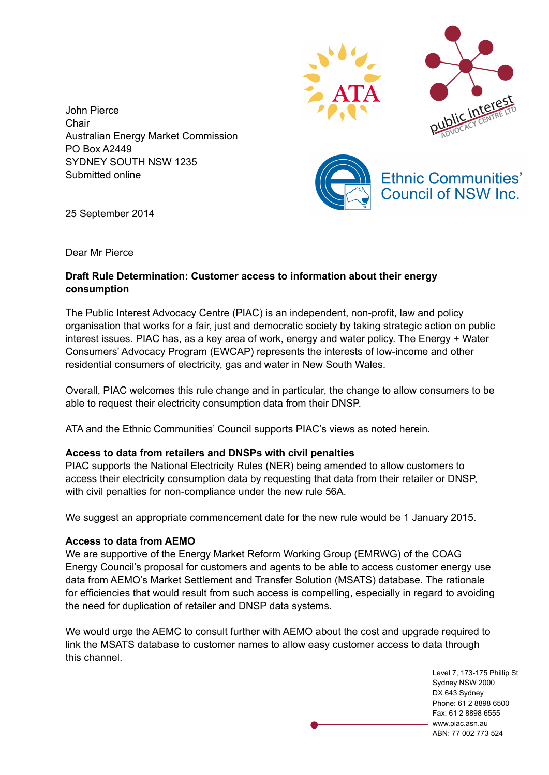



John Pierce **Chair** Australian Energy Market Commission PO Box A2449 SYDNEY SOUTH NSW 1235 Submitted online



25 September 2014

Dear Mr Pierce

# **Draft Rule Determination: Customer access to information about their energy consumption**

The Public Interest Advocacy Centre (PIAC) is an independent, non-profit, law and policy organisation that works for a fair, just and democratic society by taking strategic action on public interest issues. PIAC has, as a key area of work, energy and water policy. The Energy + Water Consumers' Advocacy Program (EWCAP) represents the interests of low-income and other residential consumers of electricity, gas and water in New South Wales.

Overall, PIAC welcomes this rule change and in particular, the change to allow consumers to be able to request their electricity consumption data from their DNSP.

ATA and the Ethnic Communities' Council supports PIAC's views as noted herein.

# **Access to data from retailers and DNSPs with civil penalties**

PIAC supports the National Electricity Rules (NER) being amended to allow customers to access their electricity consumption data by requesting that data from their retailer or DNSP, with civil penalties for non-compliance under the new rule 56A.

We suggest an appropriate commencement date for the new rule would be 1 January 2015.

### **Access to data from AEMO**

We are supportive of the Energy Market Reform Working Group (EMRWG) of the COAG Energy Council's proposal for customers and agents to be able to access customer energy use data from AEMO's Market Settlement and Transfer Solution (MSATS) database. The rationale for efficiencies that would result from such access is compelling, especially in regard to avoiding the need for duplication of retailer and DNSP data systems.

We would urge the AEMC to consult further with AEMO about the cost and upgrade required to link the MSATS database to customer names to allow easy customer access to data through this channel.

> Level 7, 173-175 Phillip St Sydney NSW 2000 DX 643 Sydney Phone: 61 2 8898 6500 Fax: 61 2 8898 6555 www.piac.asn.au ABN: 77 002 773 524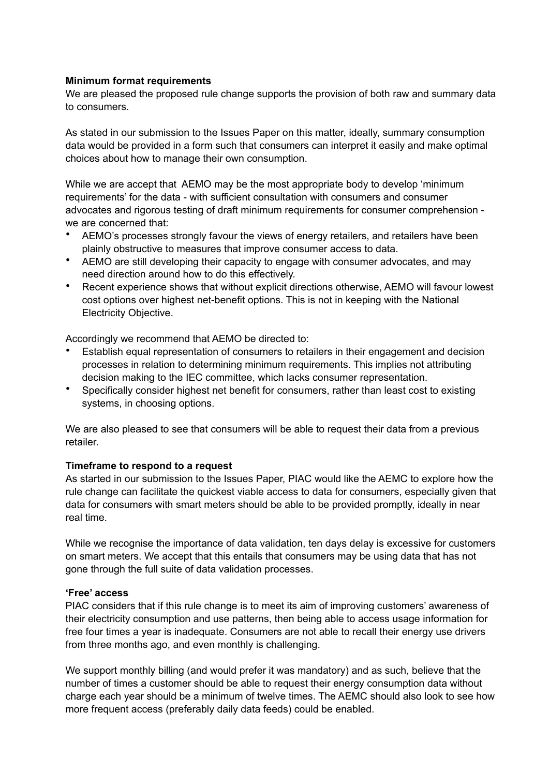### **Minimum format requirements**

We are pleased the proposed rule change supports the provision of both raw and summary data to consumers.

As stated in our submission to the Issues Paper on this matter, ideally, summary consumption data would be provided in a form such that consumers can interpret it easily and make optimal choices about how to manage their own consumption.

While we are accept that AEMO may be the most appropriate body to develop 'minimum requirements' for the data - with sufficient consultation with consumers and consumer advocates and rigorous testing of draft minimum requirements for consumer comprehension we are concerned that:

- AEMO's processes strongly favour the views of energy retailers, and retailers have been plainly obstructive to measures that improve consumer access to data.
- AEMO are still developing their capacity to engage with consumer advocates, and may need direction around how to do this effectively.
- Recent experience shows that without explicit directions otherwise, AEMO will favour lowest cost options over highest net-benefit options. This is not in keeping with the National Electricity Objective.

Accordingly we recommend that AEMO be directed to:

- Establish equal representation of consumers to retailers in their engagement and decision processes in relation to determining minimum requirements. This implies not attributing decision making to the IEC committee, which lacks consumer representation.
- Specifically consider highest net benefit for consumers, rather than least cost to existing systems, in choosing options.

We are also pleased to see that consumers will be able to request their data from a previous retailer.

### **Timeframe to respond to a request**

As started in our submission to the Issues Paper, PIAC would like the AEMC to explore how the rule change can facilitate the quickest viable access to data for consumers, especially given that data for consumers with smart meters should be able to be provided promptly, ideally in near real time.

While we recognise the importance of data validation, ten days delay is excessive for customers on smart meters. We accept that this entails that consumers may be using data that has not gone through the full suite of data validation processes.

### **'Free' access**

PIAC considers that if this rule change is to meet its aim of improving customers' awareness of their electricity consumption and use patterns, then being able to access usage information for free four times a year is inadequate. Consumers are not able to recall their energy use drivers from three months ago, and even monthly is challenging.

We support monthly billing (and would prefer it was mandatory) and as such, believe that the number of times a customer should be able to request their energy consumption data without charge each year should be a minimum of twelve times. The AEMC should also look to see how more frequent access (preferably daily data feeds) could be enabled.